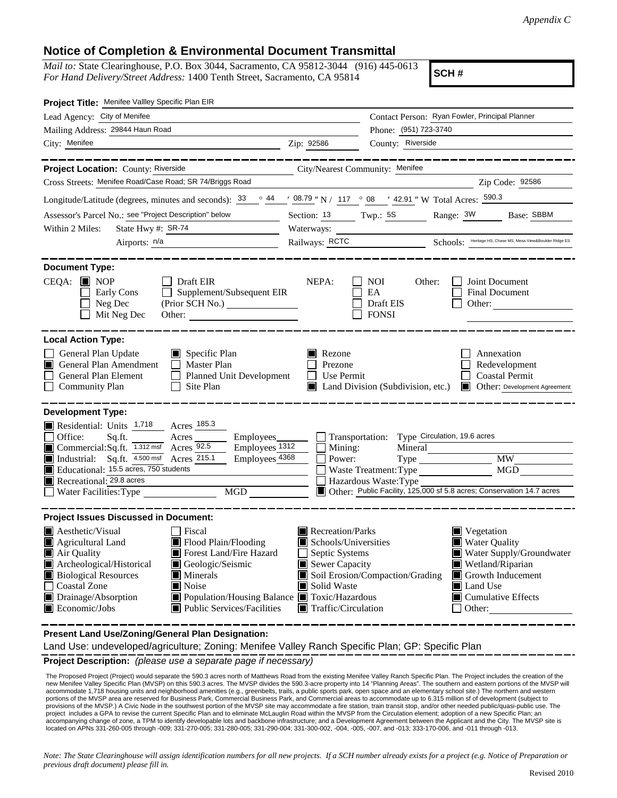## **Notice of Completion & Environmental Document Transmittal**

*Mail to:* State Clearinghouse, P.O. Box 3044, Sacramento, CA 95812-3044 (916) 445-0613 *For Hand Delivery/Street Address:* 1400 Tenth Street, Sacramento, CA 95814

**SCH #**

| Project Title: Menifee Vallley Specific Plan EIR                                                                                                                                                                                                                                                                                                                                            |                                                                                                                                        |                                                                                                                      |                                                                                                                                                       |
|---------------------------------------------------------------------------------------------------------------------------------------------------------------------------------------------------------------------------------------------------------------------------------------------------------------------------------------------------------------------------------------------|----------------------------------------------------------------------------------------------------------------------------------------|----------------------------------------------------------------------------------------------------------------------|-------------------------------------------------------------------------------------------------------------------------------------------------------|
| Lead Agency: City of Menifee                                                                                                                                                                                                                                                                                                                                                                |                                                                                                                                        |                                                                                                                      | Contact Person: Ryan Fowler, Principal Planner                                                                                                        |
| Mailing Address: 29844 Haun Road                                                                                                                                                                                                                                                                                                                                                            |                                                                                                                                        | Phone: (951) 723-3740                                                                                                |                                                                                                                                                       |
| City: Menifee                                                                                                                                                                                                                                                                                                                                                                               | Zip: 92586                                                                                                                             | County: Riverside                                                                                                    |                                                                                                                                                       |
|                                                                                                                                                                                                                                                                                                                                                                                             |                                                                                                                                        |                                                                                                                      |                                                                                                                                                       |
| Project Location: County: Riverside                                                                                                                                                                                                                                                                                                                                                         | City/Nearest Community: Menifee                                                                                                        |                                                                                                                      |                                                                                                                                                       |
| Cross Streets: Menifee Road/Case Road; SR 74/Briggs Road                                                                                                                                                                                                                                                                                                                                    |                                                                                                                                        |                                                                                                                      | Zip Code: 92586                                                                                                                                       |
| Longitude/Latitude (degrees, minutes and seconds): 33                                                                                                                                                                                                                                                                                                                                       |                                                                                                                                        | $\frac{\circ}{2}$ 44 $\frac{1}{2}$ 08.79 " N / 117 $\circ$ 08 $\frac{1}{2}$ 42.91 " W Total Acres: $\frac{590.3}{2}$ |                                                                                                                                                       |
| Assessor's Parcel No.: see "Project Description" below                                                                                                                                                                                                                                                                                                                                      | Section: $13$ Twp.: $5S$                                                                                                               |                                                                                                                      | Range: 3W<br>Base: SBBM                                                                                                                               |
| State Hwy #: SR-74<br>Within 2 Miles:                                                                                                                                                                                                                                                                                                                                                       | Waterways:                                                                                                                             |                                                                                                                      |                                                                                                                                                       |
| Airports: n/a                                                                                                                                                                                                                                                                                                                                                                               |                                                                                                                                        |                                                                                                                      | Railways: RCTC Schools: Heritage HS, Chase MS, Mesa View&Boulder Ridge ES                                                                             |
| <b>Document Type:</b><br>$CEQA:$ MOP<br>Draft EIR<br>$\mathsf{L}$<br>Supplement/Subsequent EIR<br>Early Cons<br>Neg Dec<br>(Prior SCH No.)<br>Mit Neg Dec<br>Other:                                                                                                                                                                                                                         | NEPA:                                                                                                                                  | <b>NOI</b><br>Other:<br>EA<br>Draft EIS<br><b>FONSI</b>                                                              | Joint Document<br><b>Final Document</b><br>Other:                                                                                                     |
| <b>Local Action Type:</b>                                                                                                                                                                                                                                                                                                                                                                   |                                                                                                                                        |                                                                                                                      |                                                                                                                                                       |
| General Plan Update<br>$\Box$ Specific Plan<br>General Plan Amendment<br>$\Box$ Master Plan<br>General Plan Element<br>Planned Unit Development<br><b>Community Plan</b><br>Site Plan                                                                                                                                                                                                       | $\blacksquare$ Rezone<br>Prezone<br>Use Permit                                                                                         | $\blacksquare$ Land Division (Subdivision, etc.)                                                                     | Annexation<br>Redevelopment<br><b>Coastal Permit</b><br>Other: Development Agreement<br>I III I                                                       |
| <b>Development Type:</b>                                                                                                                                                                                                                                                                                                                                                                    |                                                                                                                                        |                                                                                                                      |                                                                                                                                                       |
| Residential: Units $1,718$<br>Acres 185.3<br>Office:<br>Sq.ft.<br>Acres<br>Employees_<br>Commercial:Sq.ft. 1.312 msf Acres 92.5<br>Employees <sub>1312</sub><br>Industrial: Sq.ft. 4.500 msf Acres 215.1<br>Employees 4368<br>Educational: 15.5 acres, 750 students<br>Recreational: 29.8 acres<br>MGD<br>Water Facilities: Type                                                            | Transportation:<br>Mining:<br>Power:                                                                                                   | Type Circulation, 19.6 acres<br>Mineral<br>Waste Treatment: Type<br>Hazardous Waste: Type                            | <b>MW</b><br>MGD<br>Other: Public Facility, 125,000 sf 5.8 acres; Conservation 14.7 acres                                                             |
| <b>Project Issues Discussed in Document:</b>                                                                                                                                                                                                                                                                                                                                                |                                                                                                                                        |                                                                                                                      |                                                                                                                                                       |
| <b>A</b> esthetic/Visual<br>Fiscal<br>Flood Plain/Flooding<br>Agricultural Land<br>Forest Land/Fire Hazard<br>Air Quality<br>Archeological/Historical<br>Geologic/Seismic<br><b>Biological Resources</b><br>$\blacksquare$ Minerals<br><b>Coastal Zone</b><br>Noise<br>Drainage/Absorption<br>■ Population/Housing Balance ■ Toxic/Hazardous<br>Economic/Jobs<br>Public Services/Facilities | Recreation/Parks<br>Schools/Universities<br>Septic Systems<br>Sewer Capacity<br>Solid Waste<br>ш<br>$\blacksquare$ Traffic/Circulation | Soil Erosion/Compaction/Grading                                                                                      | Vegetation<br>Water Quality<br>Water Supply/Groundwater<br>Wetland/Riparian<br>$\Box$ Growth Inducement<br>Land Use<br>■ Cumulative Effects<br>Other: |

**Present Land Use/Zoning/General Plan Designation:**

Land Use: undeveloped/agriculture; Zoning: Menifee Valley Ranch Specific Plan; GP: Specific Plan

**Project Description:** *(please use a separate page if necessary)*

 The Proposed Project (Project) would separate the 590.3 acres north of Matthews Road from the existing Menifee Valley Ranch Specific Plan. The Project includes the creation of the new Menifee Valley Specific Plan (MVSP) on tthis 590.3 acres. The MVSP divides the 590.3-acre property into 14 "Planning Areas". The southern and eastern portions of the MVSP will accommodate 1,718 housing units and neighborhood amenities (e.g., greenbelts, trails, a public sports park, open space and an elementary school site.) The northern and western portions of the MVSP area are reserved for Business Park, Commercial Business Park, and Commercial areas to accommodate up to 6.315 million sf of development (subject to provisions of the MVSP.) A Civic Node in the southwest portion of the MVSP site may accommodate a fire station, train transit stop, and/or other needed public/quasi-public use. The<br>project includes a GPA to revise the cur recompanying change of zone, a TPM to identify developable lots and backbone infrastructure; and a Development Agreement between the Applicant and the City. The MVSP site is located on APNs 331-260-005 through -009; 331-270-005; 331-280-005; 331-290-004; 331-300-002, -004, -005, -007, and -013; 333-170-006, and -011 through -013.

*Note: The State Clearinghouse will assign identification numbers for all new projects. If a SCH number already exists for a project (e.g. Notice of Preparation or previous draft document) please fill in.*